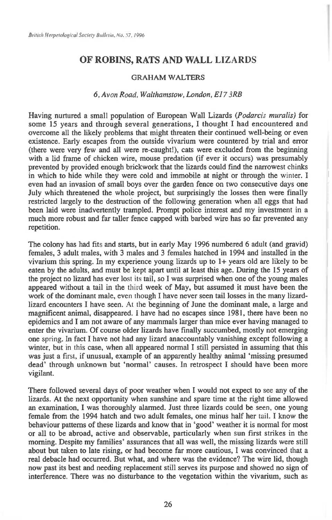## **OF ROBINS, RATS AND WALL LIZARDS**

## **GRAHAM WALTERS**

## *6, Avon Road, Walthamstow, London, E17 3RB*

**Having nurtured a small population of European Wall Lizards** *(Podarcis muralis)* **for some 15 years and through several generations, I thought I had encountered and overcome all the likely problems that might threaten their continued well-being or even existence. Early escapes from the outside vivarium were countered by trial and error (there were very few and all were re-caught!), cats were excluded from the beginning with a lid frame of chicken wire, mouse predation (if ever it occurs) was presumably prevented by provided enough brickwork that the lizards could find the narrowest chinks in which to hide while they were cold and immobile at night or through the winter. I even had an invasion of small boys over the garden fence on two consecutive days one July which threatened the whole project, but surprisingly the losses then were finally restricted largely to the destruction of the following generation when all eggs that had been laid were inadvertently trampled. Prompt police interest and my investment in a much more robust and far taller fence capped with barbed wire has so far prevented any repetition.** 

**The colony has had fits and starts, but in early May 1996 numbered 6 adult (and gravid) females, 3 adult males, with 3 males and 3 females hatched in 1994 and installed in the vivarium this spring. In my experience young lizards up to 1+ years old are likely to be eaten by the adults, and must be kept apart until at least this age. During the 15 years of the project no lizard has ever** lost its **tail, so I was surprised when one of the young males appeared without a tail in the** third **week of May, but assumed it must have been the work of the dominant male, even though I have never seen tail losses in the many lizardlizard encounters I have seen.** At the **beginning of June the dominant male, a large and magnificent animal, disappeared. I have had no escapes since 1981, there have been no epidemics and I am not aware of any mammals larger than mice ever having managed to enter the vivarium. Of course older lizards have finally succumbed, mostly not emerging one** spring. **In fact I have not had any lizard anaccountably vanishing except following a winter, but** in this **case, when all appeared normal I still persisted in assuming that this was just a** first, if **unusual, example of an apparently healthy animal 'missing presumed dead' through unknown but 'normal' causes. In retrospect I should have been more vigilant.** 

**There followed several days of poor weather when I would not expect to see any of the lizards. At the next opportunity when sunshine and spare time at the right time allowed an examination, I was thoroughly alarmed. Just three lizards could be seen, one young female from the 1994 hatch and two adult females, one minus half her** tail. I **know the behaviour patterns of these lizards and know that in 'good' weather it is normal for most or all to be abroad, active and observable, particularly when sun first strikes in the morning. Despite my families' assurances that all was well, the missing lizards were still about but taken to late rising, or had become far more cautious, I was convinced that a real debacle had occurred. But what, and where was the evidence? The wire lid, though now past its best and needing replacement still serves its purpose and showed no sign of interference. There was no disturbance to the vegetation within the vivarium, such as**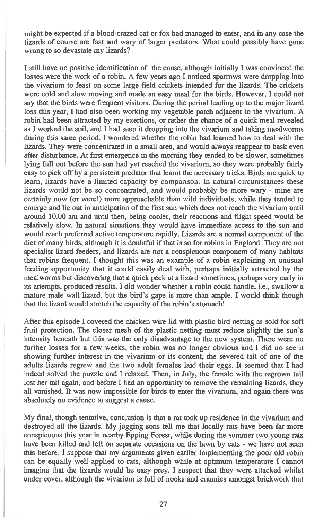might be expected if a blood-crazed cat or fox had managed to enter, and in any case the lizards of course are fast and wary of larger predators. What could possibly have gone wrong to so devastate my lizards?

I still have no positive identification of the cause, although initially I was convinced the losses were the work of a robin. A few years ago I noticed sparrows were dropping into the vivarium to feast on some large field crickets intended for the lizards. The crickets were cold and slow moving and made an easy meal for the birds. However, I could not say that the birds were frequent visitors. During the period leading up to the major lizard loss this year, I had also been working my vegetable patch adjacent to the vivarium. A robin had been attracted by my exertions, or rather the chance of a quick meal revealed as I worked the soil, and I had seen it dropping into the vivarium and taking mealworms during this same period. I wondered whether the robin had learned how to deal with the lizards. They were concentrated in a small area, and would always reappear to bask even after disturbance. At first emergence in the morning they tended to be slower, sometimes lying full out before the sun had yet reached the vivarium, so they were probably fairly easy to pick off by a persistent predator that learnt the necessary tricks. Birds are quick to learn, lizards have a limited capacity by comparison. In natural circumstances these lizards would not be so concentrated, and would probably be more wary - mine are certainly now (or were!) more approachable than wild individuals, while they tended to emerge and lie out in anticipation of the first sun which does not reach the vivarium until around 10.00 am and until then, being cooler, their reactions and flight speed would be relatively slow. In natural situations they would have immediate access to the sun and would reach preferred active temperature rapidly. Lizards are a normal component of the diet of many birds, although it is doubtful if that is so for robins in England. They are not specialist lizard feeders, and lizards are not a conspicuous component of many habitats that robins frequent. I thought this was an example of a robin exploiting an unusual feeding opportunity that it could easily deal with, perhaps initially attracted by the mealworms but discovering that a quick peck at a lizard sometimes, perhaps very early in its attempts, produced results. I did wonder whether a robin could handle, i.e., swallow a mature male wall lizard, but the bird's gape is more than ample. I would think though that the lizard would stretch the capacity of the robin's stomach!

After this episode I covered the chicken wire lid with plastic bird netting as sold for soft fruit protection. The closer mesh of the plastic netting must reduce slightly the sun's intensity beneath but this was the only disadvantage to the new system. There were no further losses for a few weeks, the robin was no longer obvious and I did no see it showing further interest in the vivarium or its content, the severed tail of one of the adults lizards regrew and the two adult females laid their eggs. It seemed that I had indeed solved the puzzle and I relaxed. Then, in July, the female with the regrown tail lost her tail again, and before I had an opportunity to remove the remaining lizards, they all vanished. It was now impossible for birds to enter the vivarium, and again there was absolutely no evidence to suggest a cause.

My final, though tentative, conclusion is that a rat took up residence in the vivarium and destroyed all the lizards. My jogging sons tell me that locally rats have been far more conspicuous this year in nearby Epping Forest, while during the summer two young rats have been killed and left on separate occasions on the lawn by cats - we have not seen this before. I suppose that my arguments given earlier implementing the poor old robin can be equally well applied to rats, although while at optimum temperature I cannot imagine that the lizards would be easy prey. I suspect that they were attacked whilst under cover, although the vivarium is full of nooks and crannies amongst brickwork that